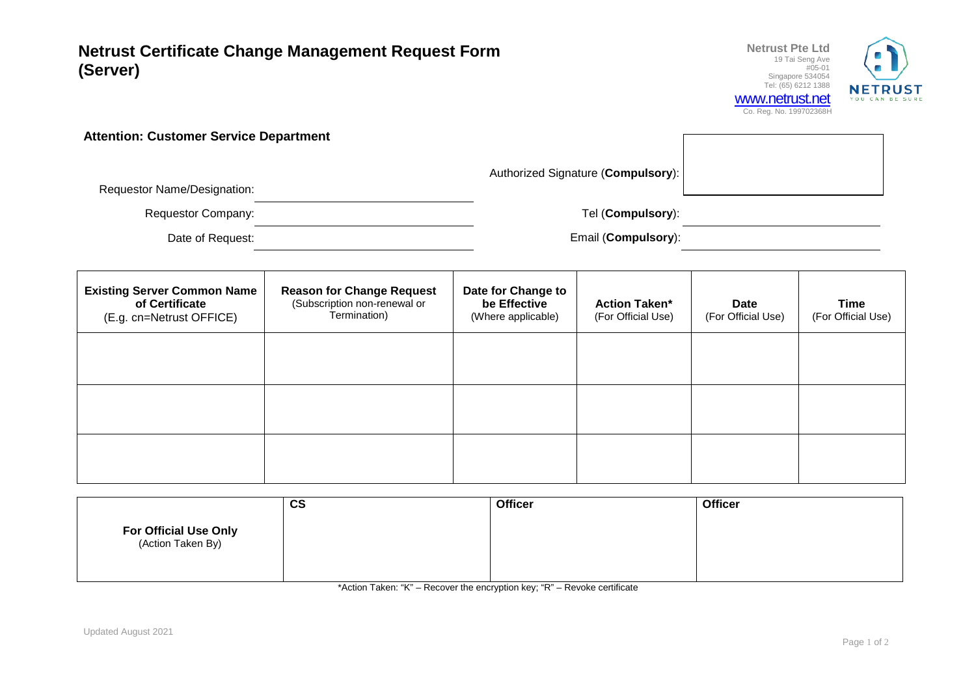**Netrust Certificate Change Management Request Form (Server)**



**Attention: Customer Service Department**

Authorized Signature (**Compulsory**):

Requestor Name/Designation:

Requestor Company: Tel (**Compulsory**):

Date of Request: Email (**Compulsory**):

| <b>Existing Server Common Name</b><br>of Certificate<br>(E.g. cn=Netrust OFFICE) | <b>Reason for Change Request</b><br>(Subscription non-renewal or<br>Termination) | Date for Change to<br>be Effective<br>(Where applicable) | <b>Action Taken*</b><br>(For Official Use) | <b>Date</b><br>(For Official Use) | Time<br>(For Official Use) |
|----------------------------------------------------------------------------------|----------------------------------------------------------------------------------|----------------------------------------------------------|--------------------------------------------|-----------------------------------|----------------------------|
|                                                                                  |                                                                                  |                                                          |                                            |                                   |                            |
|                                                                                  |                                                                                  |                                                          |                                            |                                   |                            |
|                                                                                  |                                                                                  |                                                          |                                            |                                   |                            |

|                                            | $\mathbf{c}\mathbf{s}$ | <b>Officer</b> | <b>Officer</b> |
|--------------------------------------------|------------------------|----------------|----------------|
| For Official Use Only<br>(Action Taken By) |                        |                |                |

\*Action Taken: "K" – Recover the encryption key; "R" – Revoke certificate